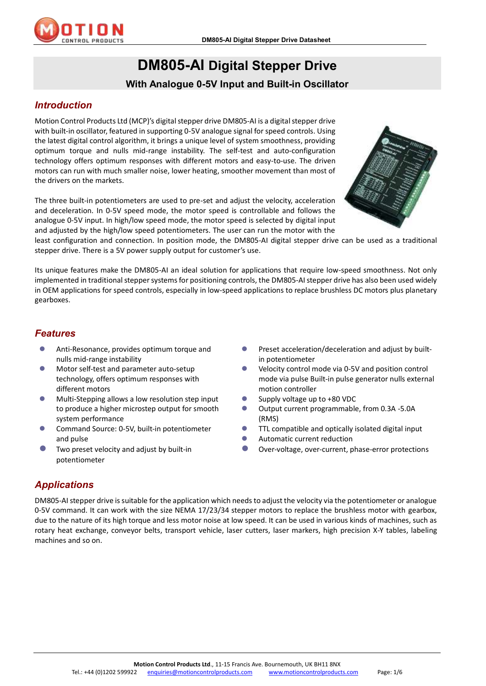

# **DM805-AI Digital Stepper Drive With Analogue 0-5V Input and Built-in Oscillator**

# *Introduction*

Motion Control Products Ltd (MCP)'s digital stepper drive DM805-AI is a digital stepper drive with built-in oscillator, featured in supporting 0-5V analogue signal for speed controls. Using the latest digital control algorithm, it brings a unique level of system smoothness, providing optimum torque and nulls mid-range instability. The self-test and auto-configuration technology offers optimum responses with different motors and easy-to-use. The driven motors can run with much smaller noise, lower heating, smoother movement than most of the drivers on the markets.

The three built-in potentiometers are used to pre-set and adjust the velocity, acceleration and deceleration. In 0-5V speed mode, the motor speed is controllable and follows the analogue 0-5V input. In high/low speed mode, the motor speed is selected by digital input and adjusted by the high/low speed potentiometers. The user can run the motor with the



least configuration and connection. In position mode, the DM805-AI digital stepper drive can be used as a traditional stepper drive. There is a 5V power supply output for customer's use.

Its unique features make the DM805-AI an ideal solution for applications that require low-speed smoothness. Not only implemented in traditional stepper systems for positioning controls, the DM805-AIstepper drive has also been used widely in OEM applications for speed controls, especially in low-speed applications to replace brushless DC motors plus planetary gearboxes.

#### *Features*

- Anti-Resonance, provides optimum torque and nulls mid-range instability
- Motor self-test and parameter auto-setup technology, offers optimum responses with different motors
- Multi-Stepping allows a low resolution step input to produce a higher microstep output for smooth system performance
- Command Source: 0-5V, built-in potentiometer and pulse
- Two preset velocity and adjust by built-in potentiometer
- Preset acceleration/deceleration and adjust by builtin potentiometer
- Velocity control mode via 0-5V and position control mode via pulse Built-in pulse generator nulls external motion controller
- Supply voltage up to +80 VDC
- Output current programmable, from 0.3A -5.0A (RMS)
- **TTL compatible and optically isolated digital input**
- Automatic current reduction
- Over-voltage, over-current, phase-error protections

# *Applications*

DM805-AI stepper drive is suitable for the application which needs to adjust the velocity via the potentiometer or analogue 0-5V command. It can work with the size NEMA 17/23/34 stepper motors to replace the brushless motor with gearbox, due to the nature of its high torque and less motor noise at low speed. It can be used in various kinds of machines, such as rotary heat exchange, conveyor belts, transport vehicle, laser cutters, laser markers, high precision X-Y tables, labeling machines and so on.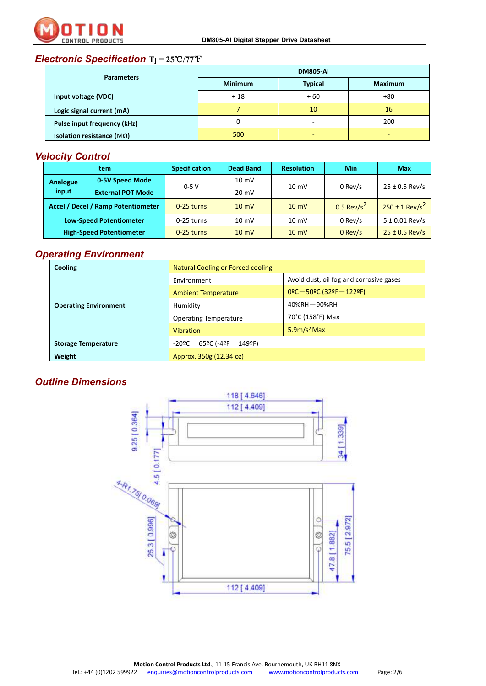

# *Electronic Specification* **Tj = 25**℃**/77**℉

| <b>Parameters</b>                  | <b>DM805-AI</b> |                |                |  |
|------------------------------------|-----------------|----------------|----------------|--|
|                                    | <b>Minimum</b>  | <b>Typical</b> | <b>Maximum</b> |  |
| Input voltage (VDC)                | $+18$           | $+60$          | +80            |  |
| Logic signal current (mA)          |                 | 10             | 16             |  |
| <b>Pulse input frequency (kHz)</b> | 0               | ۰              | 200            |  |
| Isolation resistance ( $M\Omega$ ) | 500             | -              | -              |  |

# *Velocity Control*

| <b>Item</b>                        |                          | <b>Specification</b> | Dead Band       | <b>Resolution</b> | Min                      | <b>Max</b>                     |
|------------------------------------|--------------------------|----------------------|-----------------|-------------------|--------------------------|--------------------------------|
| Analogue                           | 0-5V Speed Mode          | $0-5V$               | $10 \text{ mV}$ | $10 \text{ mV}$   | 0 Rev/s                  | $25 \pm 0.5$ Rev/s             |
| input                              | <b>External POT Mode</b> |                      | $20 \text{ mV}$ |                   |                          |                                |
| Accel / Decel / Ramp Potentiometer |                          | $0-25$ turns         | $10 \text{ mV}$ | $10 \text{ mV}$   | $0.5$ Rev/s <sup>2</sup> | $250 \pm 1$ Rev/s <sup>2</sup> |
| <b>Low-Speed Potentiometer</b>     |                          | 0-25 turns           | $10 \text{ mV}$ | $10 \text{ mV}$   | 0 Rev/s                  | $5 \pm 0.01$ Rev/s             |
| <b>High-Speed Potentiometer</b>    |                          | $0-25$ turns         | $10 \text{ mV}$ | $10 \text{ mV}$   | $0$ Rev/s                | $25 \pm 0.5$ Rev/s             |

#### *Operating Environment*

| <b>Cooling</b>               | Natural Cooling or Forced cooling  |                                         |  |
|------------------------------|------------------------------------|-----------------------------------------|--|
|                              | Environment                        | Avoid dust, oil fog and corrosive gases |  |
| <b>Operating Environment</b> | <b>Ambient Temperature</b>         | $0^{\circ}$ C – 50°C (32°F – 122°F)     |  |
|                              | Humidity                           | $40\%$ RH $-90\%$ RH                    |  |
|                              | <b>Operating Temperature</b>       | 70°C (158°F) Max                        |  |
|                              | <b>Vibration</b>                   | $5.9m/s2$ Max                           |  |
| <b>Storage Temperature</b>   | $-20$ ºC $-65$ ºC (-4ºF $-149$ ºF) |                                         |  |
| Weight                       | Approx. 350g (12.34 oz)            |                                         |  |

### *Outline Dimensions*

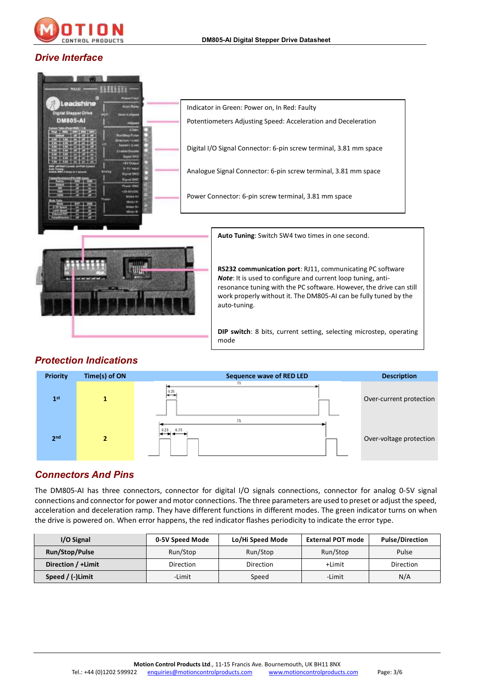

#### *Drive Interface*

| $\mathbf{H}$                                                                                                              | Indicator in Green: Power on, In Red: Faulty                                                                                                                                                                                                                                                |
|---------------------------------------------------------------------------------------------------------------------------|---------------------------------------------------------------------------------------------------------------------------------------------------------------------------------------------------------------------------------------------------------------------------------------------|
| <b>Digital Stapper Drive</b><br><b>DM805-AI</b><br><b>Hillanes</b><br>COM                                                 | Potentiometers Adjusting Speed: Acceleration and Deceleration                                                                                                                                                                                                                               |
| <b><i><u>Randblog Pulp</u></i></b><br><b>PERMIT</b><br>Stanisl GNZ<br><b>*Birl Oukput</b>                                 | Digital I/O Signal Connector: 6-pin screw terminal, 3.81 mm space                                                                                                                                                                                                                           |
| E-SV India<br><b>Grid OM2</b>                                                                                             | Analogue Signal Connector: 6-pin screw terminal, 3.81 mm space                                                                                                                                                                                                                              |
| <b>Elgred DAO</b><br><b>South COM</b><br><b>SB-RSVDC</b><br>Mator Av<br><b>Adults CA</b><br>Material By<br><b>Motor E</b> | Power Connector: 6-pin screw terminal, 3.81 mm space                                                                                                                                                                                                                                        |
|                                                                                                                           | Auto Tuning: Switch SW4 two times in one second.                                                                                                                                                                                                                                            |
|                                                                                                                           | RS232 communication port: RJ11, communicating PC software<br><b>Note:</b> It is used to configure and current loop tuning, anti-<br>resonance tuning with the PC software. However, the drive can still<br>work properly without it. The DM805-AI can be fully tuned by the<br>auto-tuning. |
|                                                                                                                           | <b>DIP switch</b> : 8 bits, current setting, selecting microstep, operating<br>mode                                                                                                                                                                                                         |

# *Protection Indications*



# *Connectors And Pins*

The DM805-AI has three connectors, connector for digital I/O signals connections, connector for analog 0-5V signal connections and connector for power and motor connections. The three parameters are used to preset or adjust the speed, acceleration and deceleration ramp. They have different functions in different modes. The green indicator turns on when the drive is powered on. When error happens, the red indicator flashes periodicity to indicate the error type.

| I/O Signal         | 0-5V Speed Mode | Lo/Hi Speed Mode | External POT mode | <b>Pulse/Direction</b> |
|--------------------|-----------------|------------------|-------------------|------------------------|
| Run/Stop/Pulse     | Run/Stop        | Run/Stop         | Run/Stop          | Pulse                  |
| Direction / +Limit | Direction       | Direction        | +Limit            | Direction              |
| Speed / (-)Limit   | -Limit          | Speed            | -Limit            | N/A                    |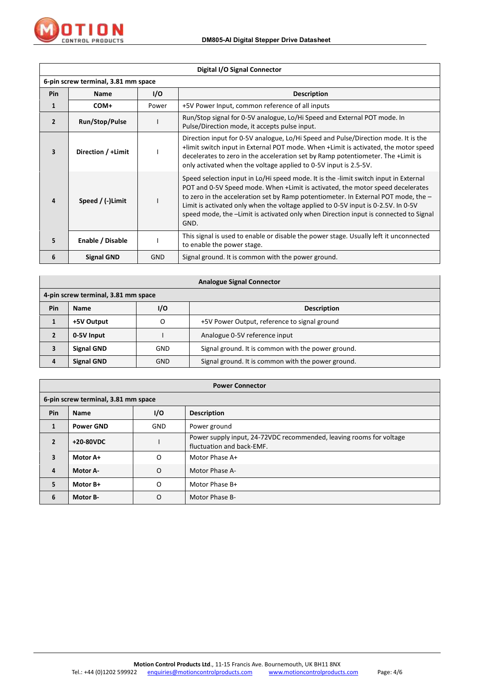

r.

|                | Digital I/O Signal Connector        |       |                                                                                                                                                                                                                                                                                                                                                                                                                                           |  |  |
|----------------|-------------------------------------|-------|-------------------------------------------------------------------------------------------------------------------------------------------------------------------------------------------------------------------------------------------------------------------------------------------------------------------------------------------------------------------------------------------------------------------------------------------|--|--|
|                | 6-pin screw terminal, 3.81 mm space |       |                                                                                                                                                                                                                                                                                                                                                                                                                                           |  |  |
| <b>Pin</b>     | <b>Name</b>                         | I/O   | <b>Description</b>                                                                                                                                                                                                                                                                                                                                                                                                                        |  |  |
| 1              | COM+                                | Power | +5V Power Input, common reference of all inputs                                                                                                                                                                                                                                                                                                                                                                                           |  |  |
| $\overline{2}$ | Run/Stop/Pulse                      |       | Run/Stop signal for 0-5V analogue, Lo/Hi Speed and External POT mode. In<br>Pulse/Direction mode, it accepts pulse input.                                                                                                                                                                                                                                                                                                                 |  |  |
| 3              | Direction / +Limit                  |       | Direction input for 0-5V analogue, Lo/Hi Speed and Pulse/Direction mode. It is the<br>+limit switch input in External POT mode. When +Limit is activated, the motor speed<br>decelerates to zero in the acceleration set by Ramp potentiometer. The +Limit is<br>only activated when the voltage applied to 0-5V input is 2.5-5V.                                                                                                         |  |  |
| $\Delta$       | Speed / $(-)$ Limit<br>GND.         |       | Speed selection input in Lo/Hi speed mode. It is the -limit switch input in External<br>POT and 0-5V Speed mode. When +Limit is activated, the motor speed decelerates<br>to zero in the acceleration set by Ramp potentiometer. In External POT mode, the -<br>Limit is activated only when the voltage applied to 0-5V input is 0-2.5V. In 0-5V<br>speed mode, the -Limit is activated only when Direction input is connected to Signal |  |  |
| 5              | Enable / Disable                    |       | This signal is used to enable or disable the power stage. Usually left it unconnected<br>to enable the power stage.                                                                                                                                                                                                                                                                                                                       |  |  |
| 6              | <b>Signal GND</b>                   | GND   | Signal ground. It is common with the power ground.                                                                                                                                                                                                                                                                                                                                                                                        |  |  |

|     | <b>Analogue Signal Connector</b>    |                           |                                                    |  |  |
|-----|-------------------------------------|---------------------------|----------------------------------------------------|--|--|
|     | 4-pin screw terminal, 3.81 mm space |                           |                                                    |  |  |
| Pin | <b>Name</b>                         | 1/0<br><b>Description</b> |                                                    |  |  |
|     | +5V Output                          | O                         | +5V Power Output, reference to signal ground       |  |  |
| 2   | 0-5V Input                          |                           | Analogue 0-5V reference input                      |  |  |
| 3   | <b>Signal GND</b>                   | <b>GND</b>                | Signal ground. It is common with the power ground. |  |  |
| 4   | <b>Signal GND</b>                   | <b>GND</b>                | Signal ground. It is common with the power ground. |  |  |

|                | <b>Power Connector</b>                   |            |                                                                                                  |  |  |
|----------------|------------------------------------------|------------|--------------------------------------------------------------------------------------------------|--|--|
|                | 6-pin screw terminal, 3.81 mm space      |            |                                                                                                  |  |  |
| Pin            | 1/O<br><b>Description</b><br><b>Name</b> |            |                                                                                                  |  |  |
| 1              | <b>Power GND</b>                         | <b>GND</b> | Power ground                                                                                     |  |  |
| $\overline{2}$ | +20-80VDC                                |            | Power supply input, 24-72VDC recommended, leaving rooms for voltage<br>fluctuation and back-EMF. |  |  |
| 3              | Motor A+                                 | O          | Motor Phase A+                                                                                   |  |  |
| 4              | Motor A-                                 | O          | Motor Phase A-                                                                                   |  |  |
| 5              | Motor B+<br>O<br>Motor Phase B+          |            |                                                                                                  |  |  |
| 6              | Motor B-                                 | O          | Motor Phase B-                                                                                   |  |  |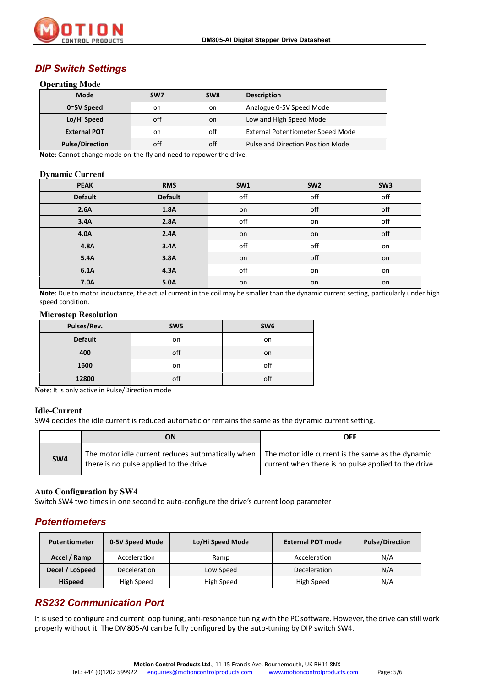

#### *DIP Switch Settings*

#### **Operating Mode**

| Mode                   | SW <sub>7</sub> | SW <sub>8</sub> | <b>Description</b>                |
|------------------------|-----------------|-----------------|-----------------------------------|
| $0^{\sim}5V$ Speed     | on              | on              | Analogue 0-5V Speed Mode          |
| Lo/Hi Speed            | off             | on.             | Low and High Speed Mode           |
| <b>External POT</b>    | on              | off             | External Potentiometer Speed Mode |
| <b>Pulse/Direction</b> | off             | off             | Pulse and Direction Position Mode |

**Note**: Cannot change mode on-the-fly and need to repower the drive.

#### **Dynamic Current**

| <b>PEAK</b>    | <b>RMS</b>     | SW1 | SW <sub>2</sub> | SW <sub>3</sub> |
|----------------|----------------|-----|-----------------|-----------------|
| <b>Default</b> | <b>Default</b> | off | off             | off             |
| 2.6A           | 1.8A           | on  | off             | off             |
| 3.4A           | 2.8A           | off | on              | off             |
| 4.0A           | 2.4A           | on  | on              | off             |
| 4.8A           | 3.4A           | off | off             | on              |
| 5.4A           | 3.8A           | on  | off             | on              |
| 6.1A           | 4.3A           | off | on              | on              |
| 7.0A           | 5.0A           | on  | on              | on              |

**Note:** Due to motor inductance, the actual current in the coil may be smaller than the dynamic current setting, particularly under high speed condition.

#### **Microstep Resolution**

| Pulses/Rev.    | SW <sub>5</sub> | SW <sub>6</sub> |
|----------------|-----------------|-----------------|
| <b>Default</b> | on              | on              |
| 400            | off             | on              |
| 1600           | on              | off             |
| 12800          | off             | off             |

**Note**: It is only active in Pulse/Direction mode

#### **Idle-Current**

SW4 decides the idle current is reduced automatic or remains the same as the dynamic current setting.

|     | ON                                                                                          | OFF                                                                                                      |
|-----|---------------------------------------------------------------------------------------------|----------------------------------------------------------------------------------------------------------|
| SW4 | The motor idle current reduces automatically when<br>there is no pulse applied to the drive | The motor idle current is the same as the dynamic<br>current when there is no pulse applied to the drive |

#### **Auto Configuration by SW4**

Switch SW4 two times in one second to auto-configure the drive's current loop parameter

#### *Potentiometers*

| <b>Potentiometer</b> | 0-5V Speed Mode | Lo/Hi Speed Mode | <b>External POT mode</b> | <b>Pulse/Direction</b> |
|----------------------|-----------------|------------------|--------------------------|------------------------|
| Accel / Ramp         | Acceleration    | Ramp             | Acceleration             | N/A                    |
| Decel / LoSpeed      | Deceleration    | Low Speed        | Deceleration             | N/A                    |
| <b>HiSpeed</b>       | High Speed      | High Speed       | High Speed               | N/A                    |

#### *RS232 Communication Port*

It is used to configure and current loop tuning, anti-resonance tuning with the PC software. However, the drive can still work properly without it. The DM805-AI can be fully configured by the auto-tuning by DIP switch SW4.